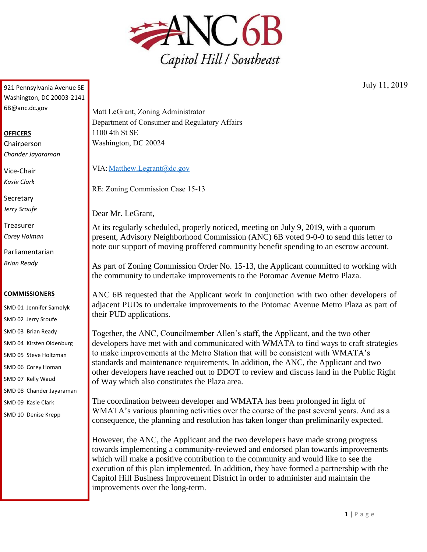

921 Pennsylvania Avenue SE Washington, DC 20003-2141 6B@anc.dc.gov

## **OFFICERS**

Chairperson *Chander Jayaraman*

Vice-Chair *Kasie Clark*

**Secretary** *Jerry Sroufe*

Treasurer *Corey Holman*

Parliamentarian *Brian Ready*

## **COMMISSIONERS**

SMD 01 Jennifer Samolyk SMD 02 Jerry Sroufe SMD 03 Brian Ready SMD 04 Kirsten Oldenburg SMD 05 Steve Holtzman SMD 06 Corey Homan SMD 07 Kelly Waud SMD 08 Chander Jayaraman

SMD 09 Kasie Clark

SMD 10 Denise Krepp

Matt LeGrant, Zoning Administrator Department of Consumer and Regulatory Affairs 1100 4th St SE Washington, DC 20024

VIA: Matthew.Legrant@dc.gov

RE: Zoning Commission Case 15-13

Dear Mr. LeGrant,

At its regularly scheduled, properly noticed, meeting on July 9, 2019, with a quorum present, Advisory Neighborhood Commission (ANC) 6B voted 9-0-0 to send this letter to note our support of moving proffered community benefit spending to an escrow account.

As part of Zoning Commission Order No. 15-13, the Applicant committed to working with the community to undertake improvements to the Potomac Avenue Metro Plaza.

ANC 6B requested that the Applicant work in conjunction with two other developers of adjacent PUDs to undertake improvements to the Potomac Avenue Metro Plaza as part of their PUD applications.

Together, the ANC, Councilmember Allen's staff, the Applicant, and the two other developers have met with and communicated with WMATA to find ways to craft strategies to make improvements at the Metro Station that will be consistent with WMATA's standards and maintenance requirements. In addition, the ANC, the Applicant and two other developers have reached out to DDOT to review and discuss land in the Public Right of Way which also constitutes the Plaza area.

The coordination between developer and WMATA has been prolonged in light of WMATA's various planning activities over the course of the past several years. And as a consequence, the planning and resolution has taken longer than preliminarily expected.

However, the ANC, the Applicant and the two developers have made strong progress towards implementing a community-reviewed and endorsed plan towards improvements which will make a positive contribution to the community and would like to see the execution of this plan implemented. In addition, they have formed a partnership with the Capitol Hill Business Improvement District in order to administer and maintain the improvements over the long-term.

July 11, 2019